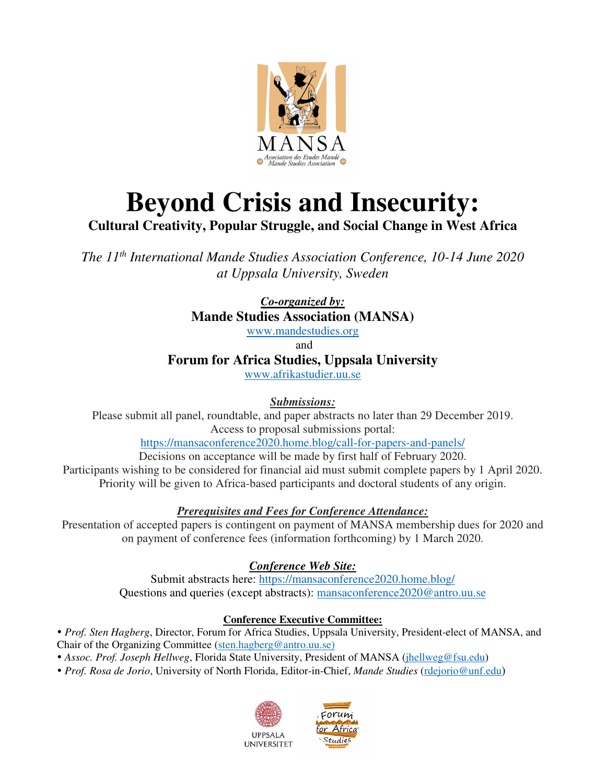

# **Beyond Crisis and Insecurity:**

### **Cultural Creativity, Popular Struggle, and Social Change in West Africa**

*The 11th International Mande Studies Association Conference, 10-14 June 2020 at Uppsala University, Sweden* 

> *Co-organized by:*  **Mande Studies Association (MANSA)**

www.mandestudies.org

and

**Forum for Africa Studies, Uppsala University** 

www.afrikastudier.uu.se

### *Submissions:*

Please submit all panel, roundtable, and paper abstracts no later than 29 December 2019. Access to proposal submissions portal:

https://mansaconference2020.home.blog/call-for-papers-and-panels/

Decisions on acceptance will be made by first half of February 2020. Participants wishing to be considered for financial aid must submit complete papers by 1 April 2020. Priority will be given to Africa-based participants and doctoral students of any origin.

### *Prerequisites and Fees for Conference Attendance:*

Presentation of accepted papers is contingent on payment of MANSA membership dues for 2020 and on payment of conference fees (information forthcoming) by 1 March 2020.

### *Conference Web Site:*

Submit abstracts here: https://mansaconference2020.home.blog/ Questions and queries (except abstracts): mansaconference2020@antro.uu.se

### **Conference Executive Committee:**

 *Prof. Sten Hagberg*, Director, Forum for Africa Studies, Uppsala University, President-elect of MANSA, and Chair of the Organizing Committee (sten.hagberg@antro.uu.se)

*Assoc. Prof. Joseph Hellweg*, Florida State University, President of MANSA (jhellweg@fsu.edu)

*Prof. Rosa de Jorio*, University of North Florida, Editor-in-Chief, *Mande Studies* (rdejorio@unf.edu)



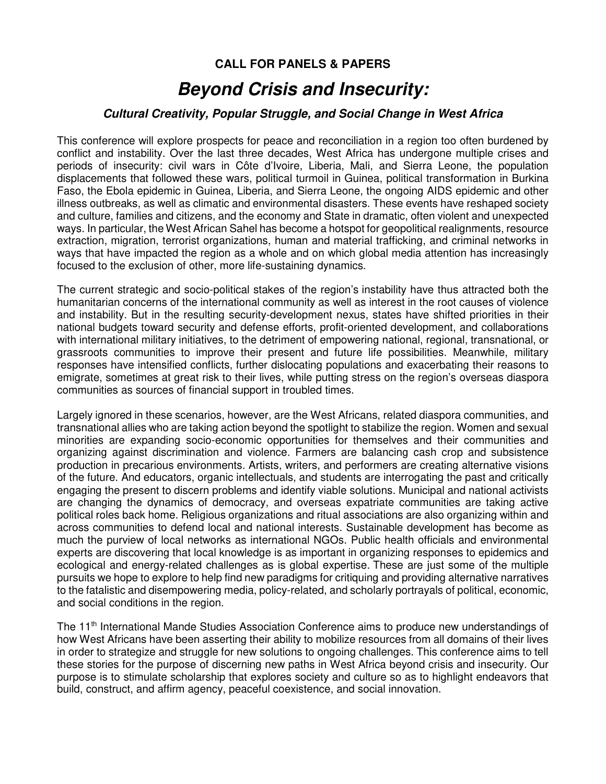### **CALL FOR PANELS & PAPERS**

### *Beyond Crisis and Insecurity:*

#### *Cultural Creativity, Popular Struggle, and Social Change in West Africa*

This conference will explore prospects for peace and reconciliation in a region too often burdened by conflict and instability. Over the last three decades, West Africa has undergone multiple crises and periods of insecurity: civil wars in Côte d'Ivoire, Liberia, Mali, and Sierra Leone, the population displacements that followed these wars, political turmoil in Guinea, political transformation in Burkina Faso, the Ebola epidemic in Guinea, Liberia, and Sierra Leone, the ongoing AIDS epidemic and other illness outbreaks, as well as climatic and environmental disasters. These events have reshaped society and culture, families and citizens, and the economy and State in dramatic, often violent and unexpected ways. In particular, the West African Sahel has become a hotspot for geopolitical realignments, resource extraction, migration, terrorist organizations, human and material trafficking, and criminal networks in ways that have impacted the region as a whole and on which global media attention has increasingly focused to the exclusion of other, more life-sustaining dynamics.

The current strategic and socio-political stakes of the region's instability have thus attracted both the humanitarian concerns of the international community as well as interest in the root causes of violence and instability. But in the resulting security-development nexus, states have shifted priorities in their national budgets toward security and defense efforts, profit-oriented development, and collaborations with international military initiatives, to the detriment of empowering national, regional, transnational, or grassroots communities to improve their present and future life possibilities. Meanwhile, military responses have intensified conflicts, further dislocating populations and exacerbating their reasons to emigrate, sometimes at great risk to their lives, while putting stress on the region's overseas diaspora communities as sources of financial support in troubled times.

Largely ignored in these scenarios, however, are the West Africans, related diaspora communities, and transnational allies who are taking action beyond the spotlight to stabilize the region. Women and sexual minorities are expanding socio-economic opportunities for themselves and their communities and organizing against discrimination and violence. Farmers are balancing cash crop and subsistence production in precarious environments. Artists, writers, and performers are creating alternative visions of the future. And educators, organic intellectuals, and students are interrogating the past and critically engaging the present to discern problems and identify viable solutions. Municipal and national activists are changing the dynamics of democracy, and overseas expatriate communities are taking active political roles back home. Religious organizations and ritual associations are also organizing within and across communities to defend local and national interests. Sustainable development has become as much the purview of local networks as international NGOs. Public health officials and environmental experts are discovering that local knowledge is as important in organizing responses to epidemics and ecological and energy-related challenges as is global expertise. These are just some of the multiple pursuits we hope to explore to help find new paradigms for critiquing and providing alternative narratives to the fatalistic and disempowering media, policy-related, and scholarly portrayals of political, economic, and social conditions in the region.

The 11<sup>th</sup> International Mande Studies Association Conference aims to produce new understandings of how West Africans have been asserting their ability to mobilize resources from all domains of their lives in order to strategize and struggle for new solutions to ongoing challenges. This conference aims to tell these stories for the purpose of discerning new paths in West Africa beyond crisis and insecurity. Our purpose is to stimulate scholarship that explores society and culture so as to highlight endeavors that build, construct, and affirm agency, peaceful coexistence, and social innovation.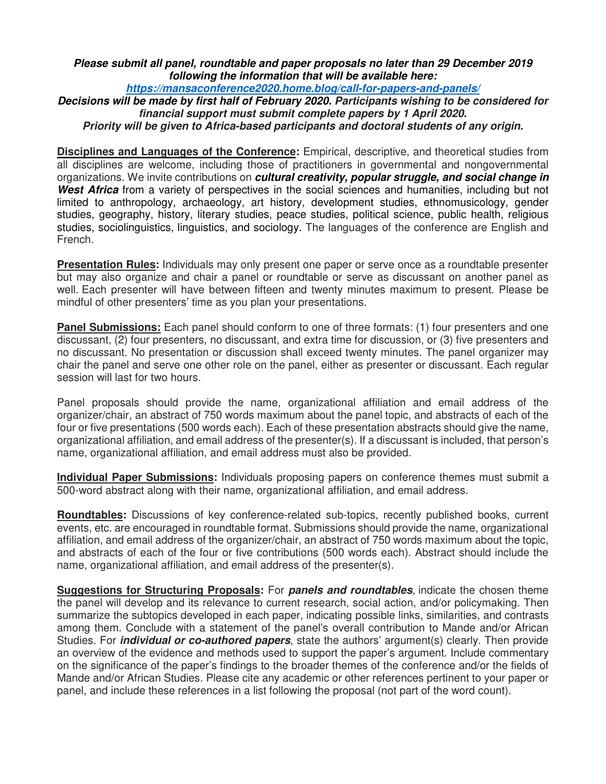#### *Please submit all panel, roundtable and paper proposals no later than 29 December 2019 following the information that will be available here:*

*https://mansaconference2020.home.blog/call-for-papers-and-panels/*

*Decisions will be made by first half of February 2020. Participants wishing to be considered for financial support must submit complete papers by 1 April 2020.* 

*Priority will be given to Africa-based participants and doctoral students of any origin.*

**Disciplines and Languages of the Conference:** Empirical, descriptive, and theoretical studies from all disciplines are welcome, including those of practitioners in governmental and nongovernmental organizations. We invite contributions on *cultural creativity, popular struggle, and social change in West Africa* from a variety of perspectives in the social sciences and humanities, including but not limited to anthropology, archaeology, art history, development studies, ethnomusicology, gender studies, geography, history, literary studies, peace studies, political science, public health, religious studies, sociolinguistics, linguistics, and sociology. The languages of the conference are English and French.

**Presentation Rules:** Individuals may only present one paper or serve once as a roundtable presenter but may also organize and chair a panel or roundtable or serve as discussant on another panel as well. Each presenter will have between fifteen and twenty minutes maximum to present. Please be mindful of other presenters' time as you plan your presentations.

**Panel Submissions:** Each panel should conform to one of three formats: (1) four presenters and one discussant, (2) four presenters, no discussant, and extra time for discussion, or (3) five presenters and no discussant. No presentation or discussion shall exceed twenty minutes. The panel organizer may chair the panel and serve one other role on the panel, either as presenter or discussant. Each regular session will last for two hours.

Panel proposals should provide the name, organizational affiliation and email address of the organizer/chair, an abstract of 750 words maximum about the panel topic, and abstracts of each of the four or five presentations (500 words each). Each of these presentation abstracts should give the name, organizational affiliation, and email address of the presenter(s). If a discussant is included, that person's name, organizational affiliation, and email address must also be provided.

**Individual Paper Submissions:** Individuals proposing papers on conference themes must submit a 500-word abstract along with their name, organizational affiliation, and email address.

**Roundtables:** Discussions of key conference-related sub-topics, recently published books, current events, etc. are encouraged in roundtable format. Submissions should provide the name, organizational affiliation, and email address of the organizer/chair, an abstract of 750 words maximum about the topic, and abstracts of each of the four or five contributions (500 words each). Abstract should include the name, organizational affiliation, and email address of the presenter(s).

**Suggestions for Structuring Proposals:** For *panels and roundtables*, indicate the chosen theme the panel will develop and its relevance to current research, social action, and/or policymaking. Then summarize the subtopics developed in each paper, indicating possible links, similarities, and contrasts among them. Conclude with a statement of the panel's overall contribution to Mande and/or African Studies. For *individual or co-authored papers*, state the authors' argument(s) clearly. Then provide an overview of the evidence and methods used to support the paper's argument. Include commentary on the significance of the paper's findings to the broader themes of the conference and/or the fields of Mande and/or African Studies. Please cite any academic or other references pertinent to your paper or panel, and include these references in a list following the proposal (not part of the word count).